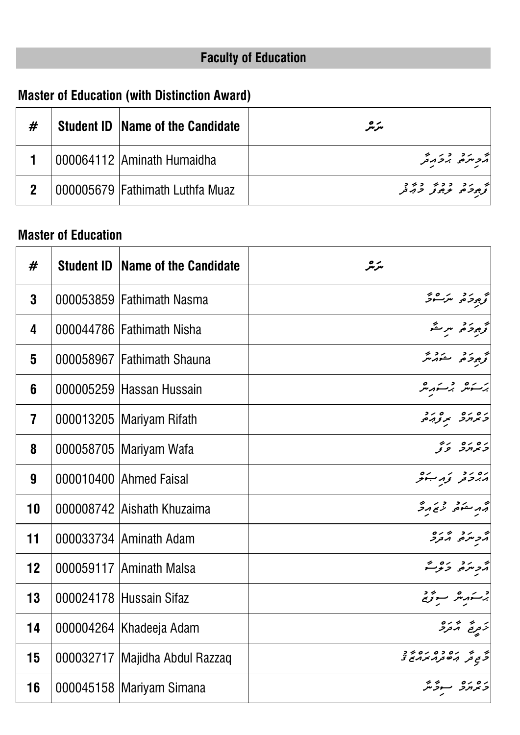# **Faculty of Education**

## **Master of Education (with Distinction Award)**

| # | <b>Student ID   Name of the Candidate</b> | مرمر      |
|---|-------------------------------------------|-----------|
|   | 000064112 Aminath Humaidha                | م در در د |
|   | 000005679 Fathimath Luthfa Muaz           |           |

#### **Master of Education**

| #              | <b>Student ID   Name of the Candidate</b> | سرمر                                          |
|----------------|-------------------------------------------|-----------------------------------------------|
| $\mathbf{3}$   | 000053859 Fathimath Nasma                 | تحجيجة حريب ومحر                              |
| 4              | 000044786 Fathimath Nisha                 | تحجيز حكم سريقه                               |
| 5              | 000058967 Fathimath Shauna                | تحجيجوجي ستوريخ                               |
| 6              | 000005259 Hassan Hussain                  | برسكرهر برسكهرمر                              |
| $\overline{7}$ | 000013205   Mariyam Rifath                | כמחכ מנהם.<br>כמחכ תנהם                       |
| 8              | 000058705   Mariyam Wafa                  | נסנס נדי<br><b>ד</b> אחר צו                   |
| 9              | 000010400 Ahmed Faisal                    | ره رد نه ب                                    |
| 10             | 000008742 Aishath Khuzaima                | و مرکز در درگردگر<br>مرکز مرکز برگردگر        |
| 11             | 000033734 Aminath Adam                    | تر مرد بر بره<br>مرح مر <sub>حر</sub>         |
| 12             | 000059117 Aminath Malsa                   | ړ د ده ده د                                   |
| 13             | 000024178 Hussain Sifaz                   | برستهر شرائع ومنتج                            |
| 14             | 000004264   Khadeeja Adam                 | ر پر پره<br>نرتونج گرتور                      |
| 15             | 000032717 Majidha Abdul Razzaq            | ه په ره ده ره په د<br>گرې تر بره تربر بربرغ د |
| 16             | 000045158   Mariyam Simana                | כמחב <mark>ה</mark> בית                       |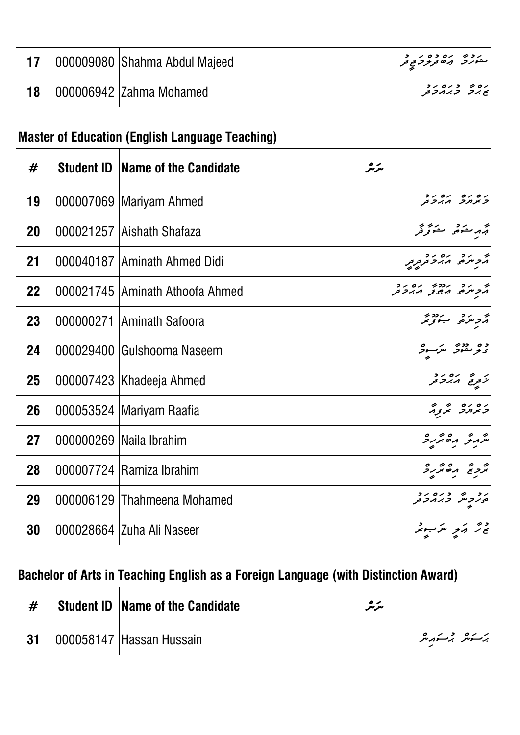|  | 000009080   Shahma Abdul Majeed | مەدەبرىرى دەر د                  |
|--|---------------------------------|----------------------------------|
|  | 000006942  Zahma Mohamed        | ره ره د ده د د<br>  پح برح رح حر |

### **Master of Education (English Language Teaching)**

| #  | <b>Student ID</b> | Name of the Candidate             | سرمر                                                |
|----|-------------------|-----------------------------------|-----------------------------------------------------|
| 19 |                   | 000007069   Mariyam Ahmed         | ים ים ים יד<br><i>כ</i> א <i>ורכ</i> ו <i>ייכ</i> ת |
| 20 |                   | 000021257 Aishath Shafaza         | أبر مرحدة والمستوفر                                 |
| 21 |                   | 000040187 Aminath Ahmed Didi      | چر سره ده دو په                                     |
| 22 |                   | 000021745   Aminath Athoofa Ahmed | ה גב גדבה גם גב<br>גביתים, גְפְצַ גִדַב             |
| 23 |                   | 000000271 Aminath Safoora         | أترج سيردد بردد بر                                  |
| 24 |                   | 000029400 Gulshooma Naseem        | ده ددو شرسود                                        |
| 25 |                   | 000007423   Khadeeja Ahmed        | ابر به ره رد<br>انزویج ا <i>زبرد</i> تر             |
| 26 |                   | 000053524 Mariyam Raafia          | ב זח כי הז                                          |
| 27 |                   | 000000269   Naila Ibrahim         | شرمۇ مەھرىر                                         |
| 28 |                   | 000007724 Ramiza Ibrahim          | ת בי הסתיק                                          |
| 29 |                   | 000006129 Thahmeena Mohamed       | נכ"ק בנסיב<br>סנקית בגובת                           |
| 30 |                   | 000028664 Zuha Ali Naseer         | ة تر <sub>م</sub> ركز مركب مركز                     |

### **Bachelor of Arts in Teaching English as a Foreign Language (with Distinction Award)**

|    | <b>Student ID   Name of the Candidate</b> | $\mathcal O$<br>سرسر |
|----|-------------------------------------------|----------------------|
| 31 | O00058147 Hassan Hussain                  | ئەسكەشرىر بەر سىز    |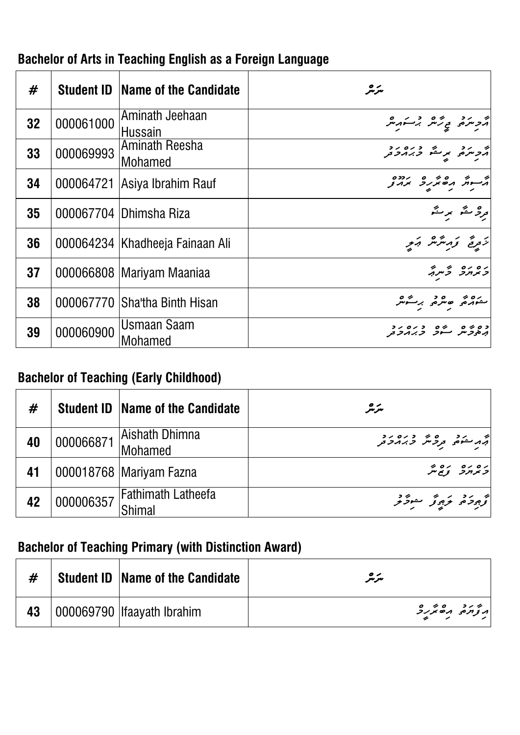| #  |           | <b>Student ID Name of the Candidate</b> | سرمر                                 |
|----|-----------|-----------------------------------------|--------------------------------------|
| 32 | 000061000 | Aminath Jeehaan<br><b>Hussain</b>       | أترجز ويحمد برسكه مر                 |
| 33 | 000069993 | <b>Aminath Reesha</b><br>Mohamed        | م دره برگ دره دد                     |
| 34 |           | 000064721 Asiya Ibrahim Rauf            | י היה הם זה הדרס<br>היית הם תוכ זה צ |
| 35 |           | 000067704 Dhimsha Riza                  | قرره معٌش ہر منَّہ                   |
| 36 |           | 000064234   Khadheeja Fainaan Ali       | زَيْرِيَّ وَرَسَّرْسْ رَبِّرِ        |
| 37 |           | 000066808   Mariyam Maaniaa             | ב זח זם "ז                           |
| 38 |           | 000067770 Sha'tha Binth Hisan           | مەدە ھىرە برىگەر                     |
| 39 | 000060900 | <b>Usmaan Saam</b><br><b>Mohamed</b>    |                                      |

#### **Bachelor of Arts in Teaching English as a Foreign Language**

#### **Bachelor of Teaching (Early Childhood)**

| #  |           | <b>Student ID   Name of the Candidate</b> | مترمر                                                                                                         |
|----|-----------|-------------------------------------------|---------------------------------------------------------------------------------------------------------------|
| 40 | 000066871 | Aishath Dhimna<br>Mohamed                 | اته مشخصی در در در در در در استفاده برای در استفاده استفاده بر استفاده برای در در استفاده برای کنید به دست با |
| 41 |           | 000018768   Mariyam Fazna                 | ده ده ده پر<br>  د بر بر د د پر                                                                               |
| 42 | 000006357 | <b>Fathimath Latheefa</b>                 | توجود توجوتر موثر تر                                                                                          |

#### **Bachelor of Teaching Primary (with Distinction Award)**

|    | <b>Student ID Name of the Candidate</b> | $\bullet\!\!\!$<br>سرسر |
|----|-----------------------------------------|-------------------------|
| 43 | 000069790   Ifaayath Ibrahim            |                         |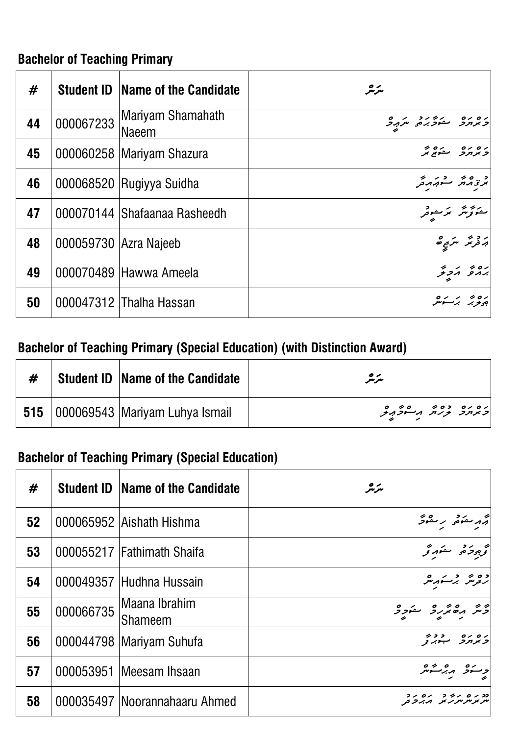### **Bachelor of Teaching Primary**

| #  |                       | <b>Student ID Name of the Candidate</b> | مترمر                              |
|----|-----------------------|-----------------------------------------|------------------------------------|
| 44 | 000067233             | Mariyam Shamahath<br>Naeem              | و ده ده مشورد مردمی                |
| 45 |                       | 000060258   Mariyam Shazura             | ره ره مدره به<br> و بر برد مسکو بر |
| 46 |                       | 000068520 Rugiyya Suidha                | بمرتج مهتم مستهرمه فحر             |
| 47 |                       | 000070144 Shafaanaa Rasheedh            | ىمۇترىتر برىسىتى                   |
| 48 | 000059730 Azra Najeeb |                                         | پر دی په سر <sub>ي ت</sub> ه       |
| 49 |                       | 000070489 Hawwa Ameela                  | رەپ ئەرىخ                          |
| 50 |                       | 000047312 Thalha Hassan                 | ره پر مره<br>جوبر برسومبر          |

### **Bachelor of Teaching Primary (Special Education) (with Distinction Award)**

|  | <b>Student ID   Name of the Candidate</b>     | $\mathcal{\bullet}\mathcal{\mathcal{A}}$<br>مىرىىر |
|--|-----------------------------------------------|----------------------------------------------------|
|  | <b>515</b>   000069543   Mariyam Luhya Ismail | ره ره ده پر مرضور ده د                             |

### **Bachelor of Teaching Primary (Special Education)**

| #  |           | <b>Student ID Name of the Candidate</b> | سرمر                        |
|----|-----------|-----------------------------------------|-----------------------------|
| 52 |           | 000065952 Aishath Hishma                | جهر منكوفه برمنقوفر         |
| 53 |           | 000055217 Fathimath Shaifa              | كخرج وحقوقه                 |
| 54 |           | 000049357 Hudhna Hussain                | دورشر برستهریش              |
| 55 | 000066735 | Maana Ibrahim<br><b>Shameem</b>         | أدَّسٌ مِنْ يُرُدُّ سُوَدِّ |
| 56 |           | 000044798   Mariyam Suhufa              | ים ים - כבי<br>המחה - היג ז |
| 57 |           | 000053951 Meesam Ihsaan                 | وسنو مبرستر                 |
| 58 |           | 000035497   Noorannahaaru Ahmed         |                             |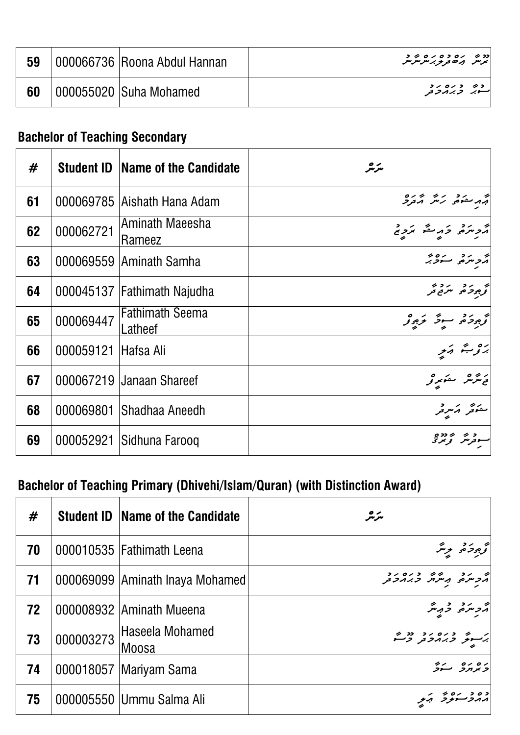| 59 | 000066736 Roona Abdul Hannan | برس بره در در سرسر سر                 |  |
|----|------------------------------|---------------------------------------|--|
| 60 | '000055020   Suha Mohamed    | دی د ره رد<br> سوبر <i>وبر</i> مرو تو |  |

#### **Bachelor of Teaching Secondary**

| #  | <b>Student ID</b> | Name of the Candidate             | سرمر                                                             |
|----|-------------------|-----------------------------------|------------------------------------------------------------------|
| 61 |                   | 000069785   Aishath Hana Adam     | י האד היה היה הים.<br>האד היה היה הבק                            |
| 62 | 000062721         | Aminath Maeesha<br>Rameez         | أأرجن وأراحكم المردح                                             |
| 63 |                   | 000069559 Aminath Samha           | أترجع ومنادرة المجموعية                                          |
| 64 |                   | 000045137   Fathimath Najudha     | و بر د بر د و.<br>ترجي کم مرتع تر                                |
| 65 | 000069447         | <b>Fathimath Seema</b><br>Latheef | اتج مجرد و سوځ مخ جوړنو<br>  توجر حمد محمد محمد محمد محمد محمد ا |
| 66 | 000059121         | <b>Hafsa Ali</b>                  | برو مبتم وبمبر                                                   |
| 67 |                   | 000067219 Janaan Shareef          | تەشرىش سەپرىر                                                    |
| 68 | 000069801         | Shadhaa Aneedh                    | ے تھ کہ مر <sub>ک</sub> ر<br>مشتر کر مرکز                        |
| 69 | 000052921         | Sidhuna Farooq                    |                                                                  |

# **Bachelor of Teaching Primary (Dhivehi/Islam/Quran) (with Distinction Award)**

| #  |           | <b>Student ID Name of the Candidate</b> | مترمگر                             |
|----|-----------|-----------------------------------------|------------------------------------|
| 70 |           | 000010535   Fathimath Leena             | كخ جرمزة برنتر                     |
| 71 |           | 000069099 Aminath Inaya Mohamed         | أثر شر و ره دره رد                 |
| 72 |           | 000008932 Aminath Mueena                | أثرجه شرقه فرميش                   |
| 73 | 000003273 | Haseela Mohamed<br>Moosa                | پرسری دره در « ۶۰                  |
| 74 |           | 000018057   Mariyam Sama                | ده ده سره                          |
| 75 |           | 000005550 Ummu Salma Ali                | ده د رورس<br>  <i>د د حسود آبو</i> |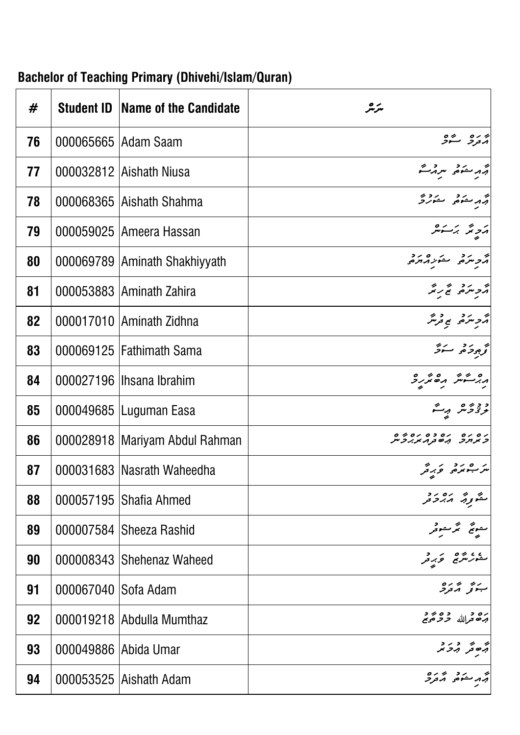| #  | <b>Student ID</b>    | Name of the Candidate            | سرمر                                                |
|----|----------------------|----------------------------------|-----------------------------------------------------|
| 76 |                      | 000065665   Adam Saam            | ا دره در پره<br>امترو سکو                           |
| 77 |                      | 000032812 Aishath Niusa          | أثرم مضمضي سرمر محتم                                |
| 78 |                      | 000068365 Aishath Shahma         | أتهر متذهر متورد                                    |
| 79 |                      | 000059025   Ameera Hassan        | پرچه برسوشر                                         |
| 80 |                      | 000069789 Aminath Shakhiyyath    | مرد مرد متورد مرد                                   |
| 81 |                      | 000053883 Aminath Zahira         | أترجه مردم للمحرب                                   |
| 82 |                      | 000017010 Aminath Zidhna         | أثرجه تنزع ورشر                                     |
| 83 |                      | 000069125 Fathimath Sama         | أقرجوه سترقر                                        |
| 84 |                      | 000027196   Ihsana Ibrahim       | ە ئەسەئىر ھەمزىر ئ                                  |
| 85 |                      | 000049685   Luguman Easa         | ودومر برگ                                           |
| 86 |                      | 000028918   Mariyam Abdul Rahman | ים ים ים כם ים 2<br><i>כאתר</i> הש <sub>ב</sub> ראת |
| 87 |                      | 000031683   Nasrath Waheedha     | مر شو بر در در کار در کار کرد کر                    |
| 88 |                      | 000057195 Shafia Ahmed           | متموية مددور                                        |
| 89 |                      | 000007584 Sheeza Rashid          | ے پیچ گر کھوٹو<br>پیچ گر کھوٹو                      |
| 90 |                      | 000008343 Shehenaz Waheed        | ره دره در در در کار تاریخی است.<br>مشور مترج        |
| 91 | 000067040 Sofa Adam  |                                  | ريز و ره<br>ښونو گردگر                              |
| 92 |                      | 000019218 Abdulla Mumthaz        | ره د ده پر د<br>برخو <sub>مر</sub> الله حرمهم       |
| 93 | 000049886 Abida Umar |                                  | بر در د<br>جامعر برح پر                             |
| 94 |                      | 000053525 Aishath Adam           | ج د حدّه معرد ه<br>ج.د حدّه معرفر                   |

# **Bachelor of Teaching Primary (Dhivehi/Islam/Quran)**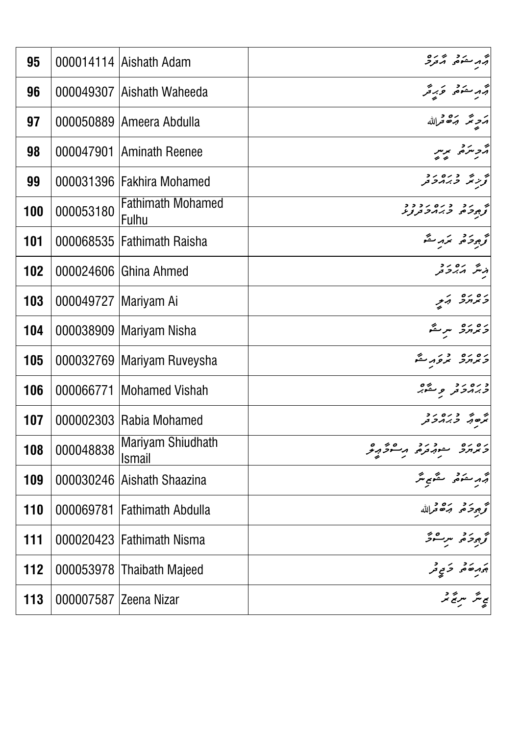| 95  |                        | 000014114   Aishath Adam           | جهر مشور در ۱۶۸۵<br>جهر مشور محمور          |
|-----|------------------------|------------------------------------|---------------------------------------------|
| 96  |                        | 000049307 Aishath Waheeda          | أبهر حكم وبرقر                              |
| 97  |                        | 000050889   Ameera Abdulla         | مَجِرْ يَمْهُ قَرَاللَّهُ                   |
| 98  | 000047901              | <b>Aminath Reenee</b>              | ה<br>הכיתם, תית<br>- י                      |
| 99  |                        | 000031396 Fakhira Mohamed          | به به دره رد<br>ترزیگر <i>و بر م</i> رومر   |
| 100 | 000053180              | <b>Fathimath Mohamed</b><br>Fulhu  | ه در دره درد.<br>ترجیحه <i>د بر م</i> رتربر |
| 101 |                        | 000068535   Fathimath Raisha       | توجود حرم مكرم                              |
| 102 |                        | 000024606 Ghina Ahmed              | د نگر مدر د                                 |
| 103 | 000049727   Mariyam Ai |                                    | ده ده در                                    |
| 104 |                        | 000038909   Mariyam Nisha          | دە رە سرچ                                   |
| 105 |                        | 000032769   Mariyam Ruveysha       | ره ره در گ                                  |
| 106 |                        | 000066771   Mohamed Vishah         | و ره رو هغه د                               |
| 107 |                        | 000002303 Rabia Mohamed            | ק הי כנסנד<br>האסף, כגורבת                  |
| 108 | 000048838              | Mariyam Shiudhath<br><b>Ismail</b> | ره ده مشهوره مسرگرمرگر                      |
| 109 |                        | 000030246 Aishath Shaazina         | أترمر مسكومه المستكوم يتكر                  |
| 110 | 000069781              | <b>Fathimath Abdulla</b>           | تحرج حرح حره فحرالله                        |
| 111 |                        | 000020423 Fathimath Nisma          | تح محركة مرسوكر                             |
| 112 |                        | 000053978   Thaibath Majeed        | بر در در د<br>جرم خه در کو                  |
| 113 | 000007587 Zeena Nizar  |                                    | <br>  پی متر سریح تنر                       |